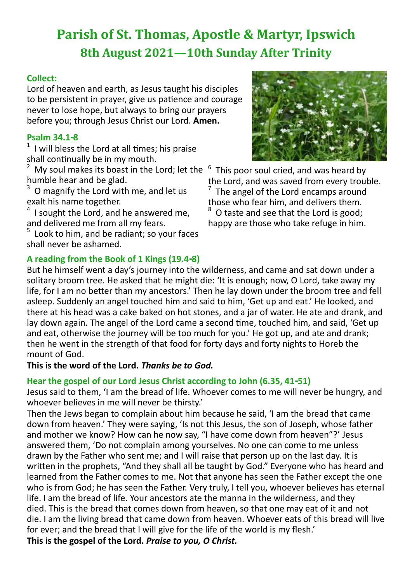# **Parish of St. Thomas, Apostle & Martyr, Ipswich 8th August 2021—10th Sunday After Trinity**

## **Collect:**

Lord of heaven and earth, as Jesus taught his disciples to be persistent in prayer, give us patience and courage never to lose hope, but always to bring our prayers before you; through Jesus Christ our Lord. **Amen.**

## **Psalm 34.1-8**

 $1$  I will bless the Lord at all times; his praise shall continually be in my mouth.

My soul makes its boast in the Lord; let the humble hear and be glad.

<sup>3</sup> O magnify the Lord with me, and let us exalt his name together.

4 I sought the Lord, and he answered me, and delivered me from all my fears.

5 Look to him, and be radiant; so your faces shall never be ashamed.

## **A reading from the Book of 1 Kings (19.4-8)**



6 This poor soul cried, and was heard by the Lord, and was saved from every trouble. 7 The angel of the Lord encamps around those who fear him, and delivers them. O taste and see that the Lord is good; happy are those who take refuge in him.

But he himself went a day's journey into the wilderness, and came and sat down under a solitary broom tree. He asked that he might die: 'It is enough; now, O Lord, take away my life, for I am no better than my ancestors.' Then he lay down under the broom tree and fell asleep. Suddenly an angel touched him and said to him, 'Get up and eat.' He looked, and there at his head was a cake baked on hot stones, and a jar of water. He ate and drank, and lay down again. The angel of the Lord came a second time, touched him, and said, 'Get up and eat, otherwise the journey will be too much for you.' He got up, and ate and drank; then he went in the strength of that food for forty days and forty nights to Horeb the mount of God.

**This is the word of the Lord.** *Thanks be to God.*

# **Hear the gospel of our Lord Jesus Christ according to John (6.35, 41-51)**

Jesus said to them, 'I am the bread of life. Whoever comes to me will never be hungry, and whoever believes in me will never be thirsty.'

Then the Jews began to complain about him because he said, 'I am the bread that came down from heaven.' They were saying, 'Is not this Jesus, the son of Joseph, whose father and mother we know? How can he now say, "I have come down from heaven"?' Jesus answered them, 'Do not complain among yourselves. No one can come to me unless drawn by the Father who sent me; and I will raise that person up on the last day. It is written in the prophets, "And they shall all be taught by God." Everyone who has heard and learned from the Father comes to me. Not that anyone has seen the Father except the one who is from God; he has seen the Father. Very truly, I tell you, whoever believes has eternal life. I am the bread of life. Your ancestors ate the manna in the wilderness, and they died. This is the bread that comes down from heaven, so that one may eat of it and not die. I am the living bread that came down from heaven. Whoever eats of this bread will live for ever; and the bread that I will give for the life of the world is my flesh.'

**This is the gospel of the Lord.** *Praise to you, O Christ.*